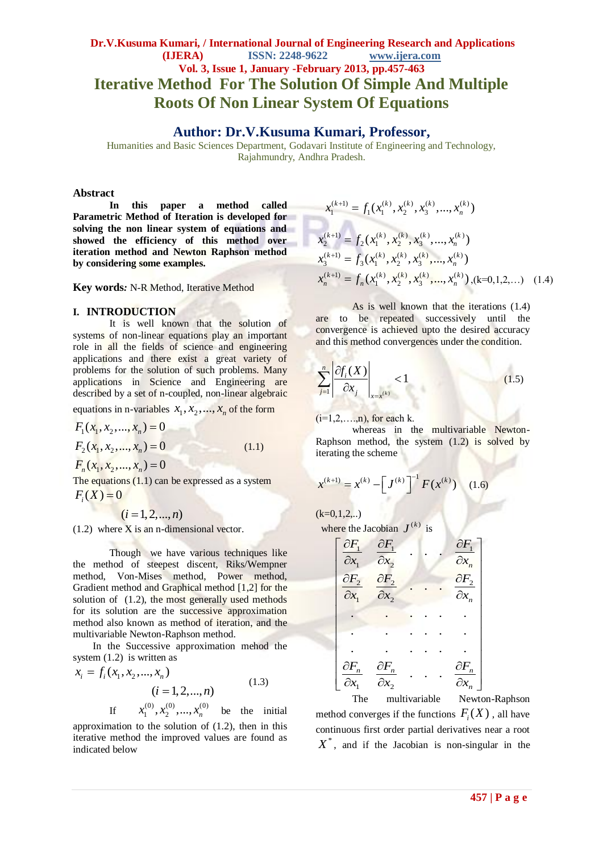#### **Dr.V.Kusuma Kumari, / International Journal of Engineering Research and Applications (IJERA) ISSN: 2248-9622 www.ijera.com Vol. 3, Issue 1, January -February 2013, pp.457-463 Iterative Method For The Solution Of Simple And Multiple Roots Of Non Linear System Of Equations**

#### **Author: Dr.V.Kusuma Kumari, Professor,**

Humanities and Basic Sciences Department, Godavari Institute of Engineering and Technology, Rajahmundry, Andhra Pradesh.

#### **Abstract**

**In this paper a method called Parametric Method of Iteration is developed for solving the non linear system of equations and showed the efficiency of this method over iteration method and Newton Raphson method by considering some examples.**

**Key words***:* N-R Method, Iterative Method

#### **I. INTRODUCTION**

It is well known that the solution of systems of non-linear equations play an important role in all the fields of science and engineering applications and there exist a great variety of problems for the solution of such problems. Many applications in Science and Engineering are described by a set of n-coupled, non-linear algebraic

equations in n-variables  $x_1, x_2, ..., x_n$  of the form

$$
F_1(x_1, x_2, ..., x_n) = 0
$$
  
\n
$$
F_2(x_1, x_2, ..., x_n) = 0
$$
  
\n
$$
F_n(x_1, x_2, ..., x_n) = 0
$$
 (1.1)

The equations  $(1.1)$  can be expressed as a system  $F_i(X) = 0$ 

 $(i = 1, 2, ..., n)$ 

 $(1.2)$  where X is an n-dimensional vector.

Though we have various techniques like the method of steepest discent, Riks/Wempner method, Von-Mises method, Power method, Gradient method and Graphical method [1,2] for the solution of  $(1.2)$ , the most generally used methods for its solution are the successive approximation method also known as method of iteration, and the multivariable Newton-Raphson method.

In the Successive approximation mehod the

system (1.2) is written as  
\n
$$
x_i = f_i(x_1, x_2, ..., x_n)
$$
\n
$$
(i = 1, 2, ..., n)
$$
\nIf  $x_1^{(0)}, x_2^{(0)}, ..., x_n^{(0)}$  be the initial

approximation to the solution of (1.2), then in this iterative method the improved values are found as indicated below

$$
x_1^{(k+1)} = f_1(x_1^{(k)}, x_2^{(k)}, x_3^{(k)}, ..., x_n^{(k)})
$$
  
\n
$$
x_2^{(k+1)} = f_2(x_1^{(k)}, x_2^{(k)}, x_3^{(k)}, ..., x_n^{(k)})
$$
  
\n
$$
x_3^{(k+1)} = f_3(x_1^{(k)}, x_2^{(k)}, x_3^{(k)}, ..., x_n^{(k)})
$$
  
\n
$$
x_n^{(k+1)} = f_n(x_1^{(k)}, x_2^{(k)}, x_3^{(k)}, ..., x_n^{(k)}),
$$
 (k=0,1,2,...) (1.4)

As is well known that the iterations (1.4) are to be repeated successively until the convergence is achieved upto the desired accuracy and this method convergences under the condition.

$$
\sum_{j=1}^{n} \left| \frac{\partial f_i(X)}{\partial x_j} \right|_{x=x^{(k)}} < 1 \tag{1.5}
$$

 $(i=1,2,\ldots,n)$ , for each k.

whereas in the multivariable Newton-Raphson method, the system (1.2) is solved by iterating the scheme

$$
x^{(k+1)} = x^{(k)} - \left[J^{(k)}\right]^{-1} F(x^{(k)}) \quad (1.6)
$$

 $(k=0,1,2,...)$ 

| where the Jacobian $J^{(k)}$ is     |                                     |                         |                                     |  |
|-------------------------------------|-------------------------------------|-------------------------|-------------------------------------|--|
| $\frac{\partial F_1}{\partial x_1}$ | $\partial F_1$<br>$\partial x_2$    |                         | $\frac{\partial F_1}{\partial x_n}$ |  |
| $\partial F_2$<br>$\partial x_1$    | $\frac{\partial F_2}{\partial x_2}$ |                         | $\frac{\partial F_2}{\partial x_n}$ |  |
|                                     |                                     |                         |                                     |  |
|                                     |                                     |                         |                                     |  |
|                                     |                                     |                         |                                     |  |
| $\partial F_n$                      | $\frac{\partial F_n}{\partial x_2}$ |                         | $\frac{\partial F_n}{\partial x_n}$ |  |
|                                     | $\mathbf{1} \cdot \mathbf{1}$       | $\cdot$ $\cdot$ $\cdot$ | $\mathbf{r}$                        |  |

The multivariable Newton-Raphson method converges if the functions  $F_i(X)$ , all have continuous first order partial derivatives near a root  $X^*$ , and if the Jacobian is non-singular in the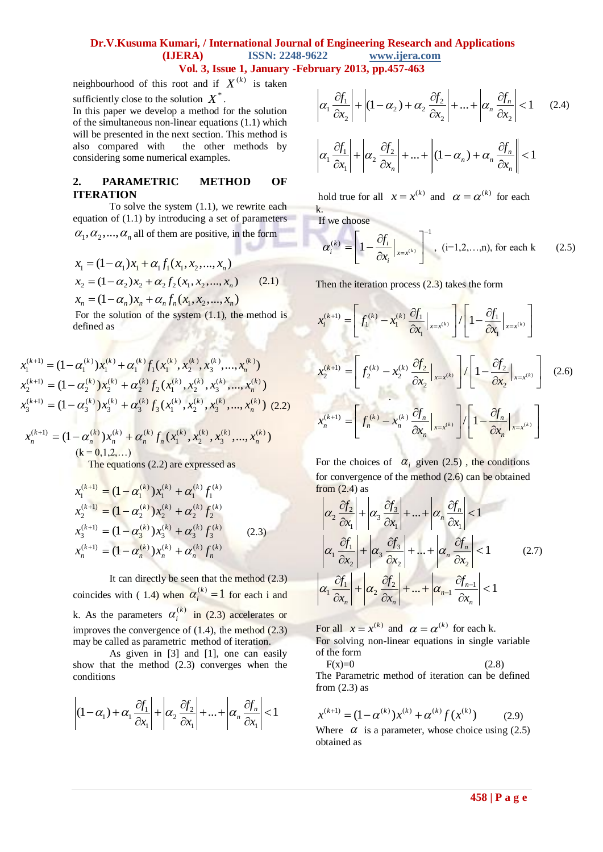#### **Dr.V.Kusuma Kumari, / International Journal of Engineering Research and Applications (IJERA) ISSN: 2248-9622 www.ijera.com Vol. 3, Issue 1, January -February 2013, pp.457-463**

neighbourhood of this root and if  $X^{(k)}$  is taken sufficiently close to the solution  $X^*$ .

In this paper we develop a method for the solution of the simultaneous non-linear equations (1.1) which will be presented in the next section. This method is also compared with the other methods by considering some numerical examples.

#### **2. PARAMETRIC METHOD OF ITERATION**

To solve the system (1.1), we rewrite each equation of (1.1) by introducing a set of parameters  $\alpha_1, \alpha_2, ..., \alpha_n$  all of them are positive, in the form

$$
x_1 = (1 - \alpha_1)x_1 + \alpha_1 f_1(x_1, x_2, ..., x_n)
$$
  
\n
$$
x_2 = (1 - \alpha_2)x_2 + \alpha_2 f_2(x_1, x_2, ..., x_n)
$$
  
\n
$$
x_n = (1 - \alpha_n)x_n + \alpha_n f_n(x_1, x_2, ..., x_n)
$$
  
\n(2.1)

$$
x_n = (1 - \alpha_n)x_n + \alpha_n f_n(x_1, x_2, ..., x_n)
$$

For the solution of the system  $(1.1)$ , the method is defined as

$$
x_1^{(k+1)} = (1 - \alpha_1^{(k)}) x_1^{(k)} + \alpha_1^{(k)} f_1(x_1^{(k)}, x_2^{(k)}, x_3^{(k)}, ..., x_n^{(k)})
$$
  
\n
$$
x_2^{(k+1)} = (1 - \alpha_2^{(k)}) x_2^{(k)} + \alpha_2^{(k)} f_2(x_1^{(k)}, x_2^{(k)}, x_3^{(k)}, ..., x_n^{(k)})
$$
  
\n
$$
x_3^{(k+1)} = (1 - \alpha_3^{(k)}) x_3^{(k)} + \alpha_3^{(k)} f_3(x_1^{(k)}, x_2^{(k)}, x_3^{(k)}, ..., x_n^{(k)})
$$
 (2.2)

$$
x_n^{(k+1)} = (1 - \alpha_n^{(k)}) x_n^{(k)} + \alpha_n^{(k)} f_n(x_1^{(k)}, x_2^{(k)}, x_3^{(k)}, ..., x_n^{(k)})
$$
  
\n
$$
(k = 0, 1, 2, ...)
$$

 $(1)$  ( )  $(1)$  ( )  $(1)$ 

The equations (2.2) are expressed as

$$
x_1^{(k+1)} = (1 - \alpha_1^{(k)}) x_1^{(k)} + \alpha_1^{(k)} f_1^{(k)}
$$
  
\n
$$
x_2^{(k+1)} = (1 - \alpha_2^{(k)}) x_2^{(k)} + \alpha_2^{(k)} f_2^{(k)}
$$
  
\n
$$
x_3^{(k+1)} = (1 - \alpha_3^{(k)}) x_3^{(k)} + \alpha_3^{(k)} f_3^{(k)}
$$
  
\n
$$
x_n^{(k+1)} = (1 - \alpha_n^{(k)}) x_n^{(k)} + \alpha_n^{(k)} f_n^{(k)}
$$
  
\n(2.3)

It can directly be seen that the method (2.3) coincides with (1.4) when  $\alpha_i^{(k)} = 1$  for each i and k. As the parameters  $\alpha_i^{(k)}$  in (2.3) accelerates or improves the convergence of  $(1.4)$ , the method  $(2.3)$ may be called as parametric method of iteration.

As given in [3] and [1], one can easily show that the method (2.3) converges when the conditions

$$
\left| (1 - \alpha_1) + \alpha_1 \frac{\partial f_1}{\partial x_1} \right| + \left| \alpha_2 \frac{\partial f_2}{\partial x_1} \right| + \dots + \left| \alpha_n \frac{\partial f_n}{\partial x_1} \right| < 1
$$

$$
\alpha_1 \frac{\partial f_1}{\partial x_2} + \left| (1 - \alpha_2) + \alpha_2 \frac{\partial f_2}{\partial x_2} \right| + \dots + \left| \alpha_n \frac{\partial f_n}{\partial x_2} \right| < 1 \quad (2.4)
$$
\n
$$
\alpha_1 \frac{\partial f_1}{\partial x_1} + \left| \alpha_2 \frac{\partial f_2}{\partial x_n} \right| + \dots + \left| (1 - \alpha_n) + \alpha_n \frac{\partial f_n}{\partial x_n} \right| < 1
$$

hold true for all  $x = x^{(k)}$  and  $\alpha = \alpha^{(k)}$  for each k.

If we choose

$$
\alpha_i^{(k)} = \left[1 - \frac{\partial f_i}{\partial x_i}\Big|_{x = x^{(k)}}\right]^{-1}, \text{ (i=1,2,...,n), for each k} \qquad (2.5)
$$

Then the iteration process (2.3) takes the form

$$
x_i^{(k+1)} = \left[ f_1^{(k)} - x_1^{(k)} \frac{\partial f_1}{\partial x_1} \Big|_{x=x^{(k)}} \right] / \left[ 1 - \frac{\partial f_1}{\partial x_1} \Big|_{x=x^{(k)}} \right]
$$
  

$$
x_2^{(k+1)} = \left[ f_2^{(k)} - x_2^{(k)} \frac{\partial f_2}{\partial x_2} \Big|_{x=x^{(k)}} \right] / \left[ 1 - \frac{\partial f_2}{\partial x_2} \Big|_{x=x^{(k)}} \right] \quad (2.6)
$$
  

$$
x_n^{(k+1)} = \left[ f_n^{(k)} - x_n^{(k)} \frac{\partial f_n}{\partial x_n} \Big|_{x=x^{(k)}} \right] / \left[ 1 - \frac{\partial f_2}{\partial x_n} \Big|_{x=x^{(k)}} \right]
$$

For the choices of  $\alpha_i$  given (2.5), the conditions for convergence of the method (2.6) can be obtained from  $(2.4)$  as

from (2.4) as  
\n
$$
\left|\alpha_{2} \frac{\partial f_{2}}{\partial x_{1}}\right| + \left|\alpha_{3} \frac{\partial f_{3}}{\partial x_{1}}\right| + ... + \left|\alpha_{n} \frac{\partial f_{n}}{\partial x_{1}}\right| < 1
$$
\n
$$
\left|\alpha_{1} \frac{\partial f_{1}}{\partial x_{2}}\right| + \left|\alpha_{3} \frac{\partial f_{3}}{\partial x_{2}}\right| + ... + \left|\alpha_{n} \frac{\partial f_{n}}{\partial x_{2}}\right| < 1
$$
\n
$$
\left|\alpha_{1} \frac{\partial f_{1}}{\partial x_{n}}\right| + \left|\alpha_{2} \frac{\partial f_{2}}{\partial x_{n}}\right| + ... + \left|\alpha_{n-1} \frac{\partial f_{n-1}}{\partial x_{n}}\right| < 1
$$
\n(2.7)

For all  $x = x^{(k)}$  and  $\alpha = \alpha^{(k)}$  for each k. For solving non-linear equations in single variable of the form

 $F(x)=0$  (2.8) The Parametric method of iteration can be defined from  $(2.3)$  as

$$
x^{(k+1)} = (1 - \alpha^{(k)})x^{(k)} + \alpha^{(k)}f(x^{(k)})
$$
 (2.9)

Where  $\alpha$  is a parameter, whose choice using (2.5) obtained as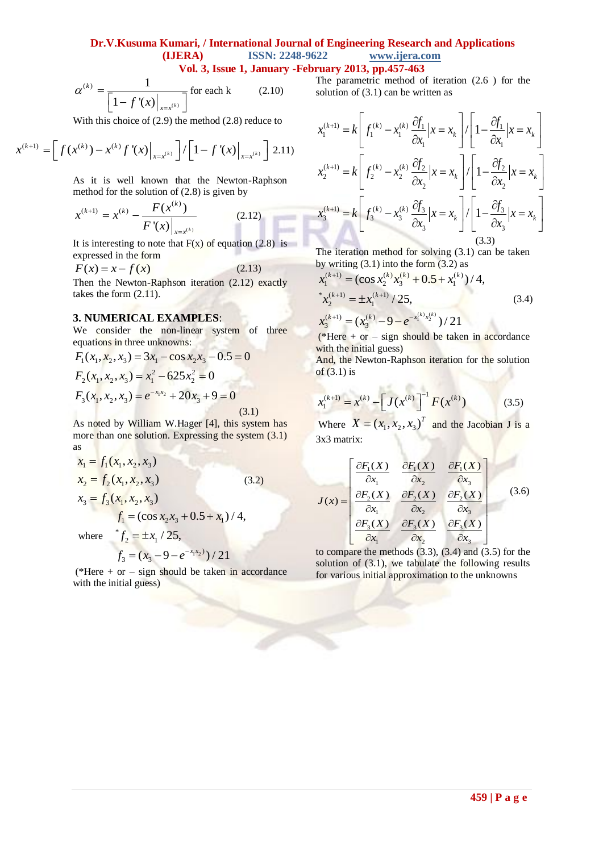#### **Dr.V.Kusuma Kumari, / International Journal of Engineering Research and Applications (IJERA) ISSN: 2248-9622 www.ijera.com Vol. 3, Issue 1, January -February 2013, pp.457-463**

**COV** 

$$
\alpha^{(k)} = \frac{1}{\left[1 - f'(x)\Big|_{x = x^{(k)}}\right]} \text{ for each k} \tag{2.10}
$$

With this choice of (2.9) the method (2.8) reduce to  
\n
$$
x^{(k+1)} = \left[ f(x^{(k)}) - x^{(k)} f'(x) \Big|_{x = x^{(k)}} \right] / \left[ 1 - f'(x) \Big|_{x = x^{(k)}} \right] \quad (2.11)
$$

As it is well known that the Newton-Raphson

method for the solution of (2.8) is given by  
\n
$$
x^{(k+1)} = x^{(k)} - \frac{F(x^{(k)})}{F'(x)|_{x=x^{(k)}}}
$$
\n(2.12)

It is interesting to note that  $F(x)$  of equation (2.8) is expressed in the form

$$
F(x) = x - f(x) \tag{2.13}
$$

Then the Newton-Raphson iteration (2.12) exactly takes the form (2.11).

#### **3. NUMERICAL EXAMPLES**:

We consider the non-linear system of three

equations in three unknowns:  
\n
$$
F_1(x_1, x_2, x_3) = 3x_1 - \cos x_2 x_3 - 0.5 = 0
$$
\n
$$
F_2(x_1, x_2, x_3) = x_1^2 - 625x_2^2 = 0
$$
\n
$$
F_3(x_1, x_2, x_3) = e^{-x_1x_2} + 20x_3 + 9 = 0
$$
\n(3.1)

As noted by William W.Hager [4], this system has more than one solution. Expressing the system  $(3.1)$ as

$$
x_1 = f_1(x_1, x_2, x_3)
$$
  
\n
$$
x_2 = f_2(x_1, x_2, x_3)
$$
  
\n
$$
x_3 = f_3(x_1, x_2, x_3)
$$
  
\n
$$
f_1 = (\cos x_2 x_3 + 0.5 + x_1) / 4,
$$

where  $f_2 = \pm x_1 / 25$ ,  $f_2 = \pm x$  $=\pm x_1$  /

$$
f_3 = (x_3 - 9 - e^{-x_1x_2})/21
$$

(\*Here  $+$  or  $-$  sign should be taken in accordance with the initial guess)

The parametric method of iteration (2.6 ) for the solution of (3.1) can be written as

$$
x_1^{(k+1)} = k \left[ f_1^{(k)} - x_1^{(k)} \frac{\partial f_1}{\partial x_1} | x = x_k \right] / \left[ 1 - \frac{\partial f_1}{\partial x_1} | x = x_k \right]
$$
  

$$
x_2^{(k+1)} = k \left[ f_2^{(k)} - x_2^{(k)} \frac{\partial f_2}{\partial x_2} | x = x_k \right] / \left[ 1 - \frac{\partial f_2}{\partial x_2} | x = x_k \right]
$$
  

$$
x_3^{(k+1)} = k \left[ f_3^{(k)} - x_3^{(k)} \frac{\partial f_3}{\partial x_3} | x = x_k \right] / \left[ 1 - \frac{\partial f_3}{\partial x_3} | x = x_k \right]
$$
  
(3.3)

The iteration method for solving (3.1) can be taken

by writing (3.1) into the form (3.2) as  
\n
$$
x_1^{(k+1)} = (\cos x_2^{(k)} x_3^{(k)} + 0.5 + x_1^{(k)})/4,
$$
\n\*
$$
x_2^{(k+1)} = \pm x_1^{(k+1)}/25,
$$
\n
$$
x_3^{(k+1)} = (x_3^{(k)} - 9 - e^{-x_1^{(k)} x_2^{(k)}})/21
$$
\n(3.4)

(\*Here  $+$  or  $-$  sign should be taken in accordance with the initial guess)

And, the Newton-Raphson iteration for the solution of  $(3.1)$  is

$$
x_1^{(k+1)} = x^{(k)} - \left[J(x^{(k)}\right]^{-1} F(x^{(k)}) \tag{3.5}
$$

Where  $X = (x_1, x_2, x_3)^T$  and the Jacobian J is a 3x3 matrix:

$$
J(x) = \begin{bmatrix} \frac{\partial F_1(X)}{\partial x_1} & \frac{\partial F_1(X)}{\partial x_2} & \frac{\partial F_1(X)}{\partial x_3} \\ \frac{\partial F_2(X)}{\partial x_1} & \frac{\partial F_2(X)}{\partial x_2} & \frac{\partial F_2(X)}{\partial x_3} \\ \frac{\partial F_3(X)}{\partial x_1} & \frac{\partial F_3(X)}{\partial x_2} & \frac{\partial F_3(X)}{\partial x_3} \end{bmatrix}
$$
(3.6)

to compare the methods (3.3), (3.4) and (3.5) for the solution of (3.1), we tabulate the following results for various initial approximation to the unknowns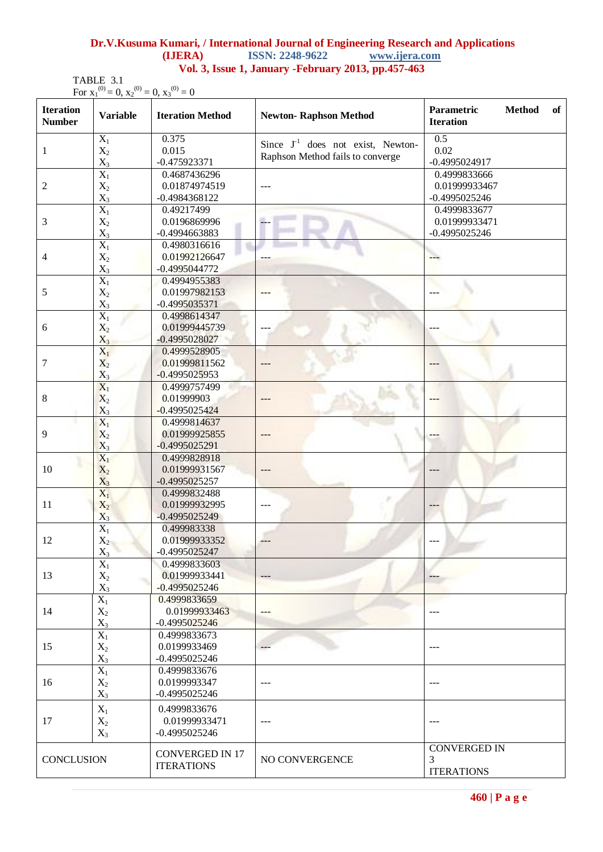### **460 | P a g e**

|                                                      |                        | Dr.V.Kusuma Kumari, / International Journal of Engineering Research and Applications |  |  |  |
|------------------------------------------------------|------------------------|--------------------------------------------------------------------------------------|--|--|--|
| <b>(LIERA)</b>                                       | <b>ISSN: 2248-9622</b> | www.ijera.com                                                                        |  |  |  |
| Vol. 3, Issue 1, January - February 2013, pp.457-463 |                        |                                                                                      |  |  |  |

TABLE 3.1  
For 
$$
x_1^{(0)} = 0
$$
,  $x_2^{(0)} = 0$ ,  $x_3^{(0)} = 0$ 

| <b>Iteration</b><br><b>Number</b> | <b>Variable</b>           | <b>Iteration Method</b>          | <b>Newton-Raphson Method</b>           | Parametric<br><b>Method</b><br>of<br><b>Iteration</b> |
|-----------------------------------|---------------------------|----------------------------------|----------------------------------------|-------------------------------------------------------|
|                                   | $\overline{X_1}$          | 0.375                            | Since $J^{-1}$ does not exist, Newton- | 0.5                                                   |
| $\mathbf{1}$                      | $\mathbf{X}_2$            | 0.015                            | Raphson Method fails to converge       | 0.02                                                  |
|                                   | $X_3$                     | $-0.475923371$                   |                                        | -0.4995024917                                         |
|                                   | $\overline{X_1}$          | 0.4687436296                     |                                        | 0.4999833666                                          |
| $\overline{2}$                    | $X_2$                     | 0.01874974519                    |                                        | 0.01999933467                                         |
|                                   | $X_3$                     | -0.4984368122                    |                                        | $-0.4995025246$                                       |
|                                   | $\overline{X_1}$          | 0.49217499                       |                                        | 0.4999833677                                          |
| 3                                 | $X_2$                     | 0.0196869996                     | $\overline{\phantom{a}}$               | 0.01999933471                                         |
|                                   | $\mathbf{X}_3$            | -0.4994663883                    |                                        | $-0.4995025246$                                       |
|                                   | $\overline{X_1}$          | 0.4980316616                     |                                        |                                                       |
| $\overline{4}$                    | $X_2$                     | 0.01992126647                    | ---                                    | $--$                                                  |
|                                   | $\mathbf{X}_3$            | -0.4995044772                    |                                        |                                                       |
|                                   | $\overline{X_1}$          | 0.4994955383                     |                                        |                                                       |
| 5                                 | $X_2$                     | 0.01997982153                    |                                        |                                                       |
|                                   | $X_3$                     | $-0.4995035371$                  |                                        |                                                       |
|                                   | $\overline{X_1}$          | 0.4998614347                     |                                        |                                                       |
| 6                                 | $X_2$                     | 0.01999445739                    | $---$                                  |                                                       |
|                                   | $X_3$                     | -0.4995028027                    |                                        |                                                       |
|                                   | $\overline{X_1}$          | 0.4999528905                     |                                        |                                                       |
| 7                                 | $X_2$                     | 0.01999811562                    |                                        |                                                       |
|                                   | $X_3$                     | $-0.4995025953$                  |                                        |                                                       |
|                                   | $X_1$                     | 0.4999757499                     |                                        |                                                       |
| 8                                 | $X_2$                     | 0.01999903                       |                                        |                                                       |
|                                   | $X_3$                     | $-0.4995025424$                  |                                        |                                                       |
|                                   | $X_1$                     | 0.4999814637                     |                                        |                                                       |
| 9                                 | $X_2$                     | 0.01999925855                    | $---$                                  |                                                       |
|                                   | $X_3$                     | -0.4995025291                    |                                        |                                                       |
|                                   | $X_1$                     | 0.4999828918                     |                                        |                                                       |
| 10                                | $X_2$                     | 0.01999931567<br>$-0.4995025257$ |                                        | ---                                                   |
|                                   | $X_3$<br>$\overline{X_1}$ | 0.4999832488                     |                                        |                                                       |
| 11                                | $X_2$                     | 0.01999932995                    |                                        | $---$                                                 |
|                                   | $X_3$                     | -0.4995025249                    |                                        |                                                       |
| 12                                | $\overline{X_1}$          | 0.499983338                      |                                        |                                                       |
|                                   | $X_2$                     | 0.01999933352                    |                                        | ---                                                   |
|                                   | $\mathbf{X}_3$            | $-0.4995025247$                  |                                        |                                                       |
|                                   | $\overline{X_1}$          | 0.4999833603                     |                                        |                                                       |
| 13                                | $X_2$                     | 0.01999933441                    |                                        |                                                       |
|                                   | $X_3$                     | $-0.4995025246$                  |                                        |                                                       |
|                                   | $\overline{X_1}$          | 0.4999833659                     |                                        |                                                       |
| 14                                | $X_2$                     | 0.01999933463                    | $---$                                  |                                                       |
|                                   | $X_3$                     | $-0.4995025246$                  |                                        |                                                       |
|                                   | $\overline{X_1}$          | 0.4999833673                     |                                        |                                                       |
| 15                                | $X_2$                     | 0.0199933469                     | $---$                                  | $---$                                                 |
|                                   | $X_3$                     | $-0.4995025246$                  |                                        |                                                       |
| 16                                | $X_1$                     | 0.4999833676                     |                                        |                                                       |
|                                   | $X_2$                     | 0.0199993347                     | $---$                                  | $---$                                                 |
|                                   | $X_3$                     | $-0.4995025246$                  |                                        |                                                       |
|                                   | $X_1$                     | 0.4999833676                     |                                        |                                                       |
| 17                                | $X_2$                     | 0.01999933471                    | $\qquad \qquad - -$                    | ---                                                   |
|                                   | $X_3$                     | $-0.4995025246$                  |                                        |                                                       |
|                                   |                           |                                  |                                        |                                                       |
|                                   |                           | <b>CONVERGED IN 17</b>           |                                        | <b>CONVERGED IN</b>                                   |
| <b>CONCLUSION</b>                 |                           | <b>ITERATIONS</b>                | NO CONVERGENCE                         | 3                                                     |
|                                   |                           |                                  |                                        | <b>ITERATIONS</b>                                     |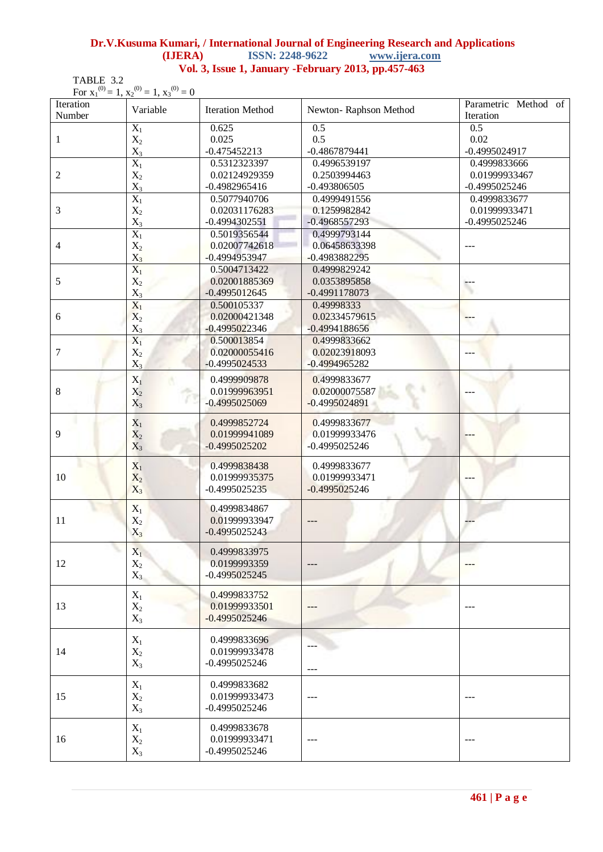#### **Dr.V.Kusuma Kumari, / International Journal of Engineering Research and Applications (IJERA) ISSN: 2248-9622 www.ijera.com Vol. 3, Issue 1, January -February 2013, pp.457-463**

TABLE 3.2

| Iteration<br>Number | For ${x_1}^{(0)} = 1, x_2^{(0)} = 1, x_3^{(0)} = 0$<br>Variable | <b>Iteration Method</b>          | Newton-Raphson Method | Parametric Method of<br>Iteration |
|---------------------|-----------------------------------------------------------------|----------------------------------|-----------------------|-----------------------------------|
|                     | $X_1$                                                           | 0.625                            | 0.5                   | 0.5                               |
| $\mathbf{1}$        | $X_2$                                                           | 0.025                            | 0.5                   | 0.02                              |
|                     | $X_3$                                                           | $-0.475452213$                   | $-0.4867879441$       | $-0.4995024917$                   |
|                     | $\overline{X_1}$                                                | 0.5312323397                     | 0.4996539197          | 0.4999833666                      |
| 2                   | $\mathbf{X}_2$                                                  | 0.02124929359                    | 0.2503994463          | 0.01999933467                     |
|                     | $X_3$                                                           | $-0.4982965416$                  | $-0.493806505$        | $-0.4995025246$                   |
|                     | $\overline{X_1}$                                                | 0.5077940706                     | 0.4999491556          | 0.4999833677                      |
| 3                   | $X_2$                                                           | 0.02031176283                    | 0.1259982842          | 0.01999933471                     |
|                     | $X_3$                                                           | $-0.4994302551$                  | $-0.4968557293$       | $-0.4995025246$                   |
|                     | $X_1$                                                           | 0.5019356544                     | 0.4999793144          |                                   |
| 4                   | $X_2$                                                           | 0.02007742618                    | 0.06458633398         | $\qquad \qquad - -$               |
|                     | $X_3$                                                           | $-0.4994953947$                  | $-0.4983882295$       |                                   |
|                     | $\overline{X_1}$                                                | 0.5004713422                     | 0.4999829242          |                                   |
| 5                   | $X_2$                                                           | 0.02001885369                    | 0.0353895858          |                                   |
|                     |                                                                 | $-0.4995012645$                  | $-0.4991178073$       | ٣                                 |
|                     | $\frac{X_3}{X_1}$                                               | 0.500105337                      | 0.49998333            |                                   |
| 6                   | $X_2$                                                           | 0.02000421348                    | 0.02334579615         | Ŧ                                 |
|                     | $\mathbf{X}_3$                                                  | $-0.4995022346$                  | $-0.4994188656$       |                                   |
|                     | $X_1$                                                           | 0.500013854                      | 0.4999833662          |                                   |
| $\boldsymbol{7}$    | $X_2$                                                           | 0.02000055416                    | 0.02023918093         |                                   |
|                     | $X_3$                                                           | $-0.4995024533$                  | $-0.4994965282$       |                                   |
|                     |                                                                 | 0.4999909878                     |                       |                                   |
|                     | $X_1$                                                           |                                  | 0.4999833677          |                                   |
| $8\,$               | $X_2$                                                           | 0.01999963951<br>$-0.4995025069$ | 0.02000075587         |                                   |
|                     | $X_3$                                                           |                                  | $-0.4995024891$       |                                   |
|                     | $X_1$                                                           | 0.4999852724                     | 0.4999833677          |                                   |
| 9                   | $X_2$                                                           | 0.01999941089                    | 0.01999933476         |                                   |
|                     | $X_3$                                                           | $-0.4995025202$                  | $-0.4995025246$       |                                   |
|                     |                                                                 |                                  |                       |                                   |
|                     | $X_1$                                                           | 0.4999838438                     | 0.4999833677          |                                   |
| 10                  | $X_2$                                                           | 0.01999935375                    | 0.01999933471         |                                   |
|                     | $X_3$                                                           | $-0.4995025235$                  | $-0.4995025246$       |                                   |
|                     | $X_1$                                                           | 0.4999834867                     |                       |                                   |
| 11                  | $X_2$                                                           | 0.01999933947                    |                       |                                   |
|                     | $X_3$                                                           | $-0.4995025243$                  |                       |                                   |
|                     |                                                                 |                                  |                       |                                   |
|                     | $X_1$                                                           | 0.4999833975                     |                       |                                   |
| 12                  | $X_2$                                                           | 0.0199993359                     |                       |                                   |
|                     | $X_3$                                                           | $-0.4995025245$                  |                       |                                   |
|                     | $\mathbf{X}_1$                                                  | 0.4999833752                     |                       |                                   |
| 13                  | $X_2$                                                           | 0.01999933501                    |                       |                                   |
|                     | $X_3$                                                           | $-0.4995025246$                  |                       |                                   |
|                     |                                                                 |                                  |                       |                                   |
|                     | $X_1$                                                           | 0.4999833696                     |                       |                                   |
| 14                  | $X_2$                                                           | 0.01999933478                    |                       |                                   |
|                     | $X_3$                                                           | $-0.4995025246$                  |                       |                                   |
|                     |                                                                 |                                  |                       |                                   |
| 15                  | $X_1$                                                           | 0.4999833682                     |                       |                                   |
|                     | $X_2$                                                           | 0.01999933473                    |                       | ---                               |
|                     | $X_3$                                                           | $-0.4995025246$                  |                       |                                   |
|                     |                                                                 |                                  |                       |                                   |
| 16                  | $X_1$                                                           | 0.4999833678<br>0.01999933471    |                       |                                   |
|                     | $X_2$                                                           | $-0.4995025246$                  |                       | $---$                             |
|                     | $X_3$                                                           |                                  |                       |                                   |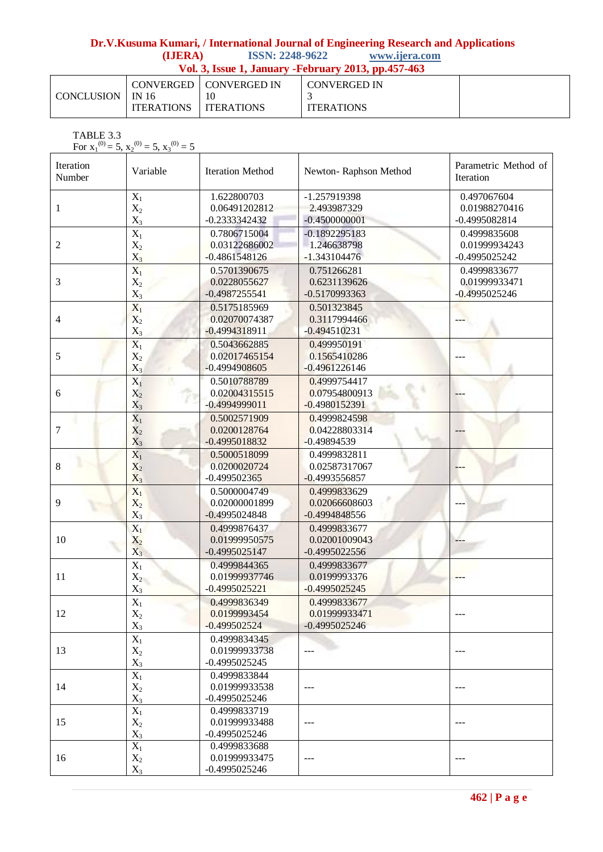# **Dr.V.Kusuma Kumari, / International Journal of Engineering Research and Applications (IJERA)** ISSN: 2248-9622 www.ijera.com

| (IJERA) | <b>ISSN: 2248-9622</b> | www.ijera.com |
|---------|------------------------|---------------|
|         |                        |               |

| Vol. 3, Issue 1, January - February 2013, pp.457-463 |                               |                          |                                     |  |  |
|------------------------------------------------------|-------------------------------|--------------------------|-------------------------------------|--|--|
| CONCLUSION 1 IN 16                                   | <b>ITERATIONS LITERATIONS</b> | CONVERGED   CONVERGED IN | L CONVERGED IN<br><b>ITERATIONS</b> |  |  |

TABLE 3.3

For  $x_1^{(0)} = 5$ ,  $x_2^{(0)} = 5$ ,  $x_3^{(0)} = 5$ 

| Iteration<br>Number | Variable                           | <b>Iteration Method</b>                          | Newton-Raphson Method                            | Parametric Method of<br>Iteration                |
|---------------------|------------------------------------|--------------------------------------------------|--------------------------------------------------|--------------------------------------------------|
| $\mathbf{1}$        | $X_1$<br>$X_2$<br>$X_3$            | 1.622800703<br>0.06491202812<br>$-0.2333342432$  | -1.257919398<br>2.493987329<br>$-0.4500000001$   | 0.497067604<br>0.01988270416<br>$-0.4995082814$  |
| $\overline{2}$      | $X_1$<br>$X_2$<br>$X_3$            | 0.7806715004<br>0.03122686002<br>$-0.4861548126$ | $-0.1892295183$<br>1.246638798<br>$-1.343104476$ | 0.4999835608<br>0.01999934243<br>$-0.4995025242$ |
| 3                   | $X_1$<br>$X_2$<br>$X_3$            | 0.5701390675<br>0.0228055627<br>$-0.4987255541$  | 0.751266281<br>0.6231139626<br>$-0.5170993363$   | 0.4999833677<br>0.01999933471<br>$-0.4995025246$ |
| 4                   | $\overline{X_1}$<br>$X_2$<br>$X_3$ | 0.5175185969<br>0.02070074387<br>$-0.4994318911$ | 0.501323845<br>0.3117994466<br>$-0.494510231$    |                                                  |
| 5                   | $X_1$<br>$X_2$<br>$X_3$            | 0.5043662885<br>0.02017465154<br>$-0.4994908605$ | 0.499950191<br>0.1565410286<br>$-0.4961226146$   |                                                  |
| 6                   | $X_1$<br>$X_2$<br>$X_3$            | 0.5010788789<br>0.02004315515<br>$-0.4994999011$ | 0.4999754417<br>0.07954800913<br>$-0.4980152391$ |                                                  |
| 7                   | $X_1$<br>$X_2$<br>$X_3$            | 0.5002571909<br>0.0200128764<br>$-0.4995018832$  | 0.4999824598<br>0.04228803314<br>$-0.49894539$   |                                                  |
| 8                   | $\overline{X_1}$<br>$X_2$<br>$X_3$ | 0.5000518099<br>0.0200020724<br>$-0.499502365$   | 0.4999832811<br>0.02587317067<br>$-0.4993556857$ |                                                  |
| 9                   | $X_1$<br>$X_2$<br>$X_3$            | 0.5000004749<br>0.02000001899<br>$-0.4995024848$ | 0.4999833629<br>0.02066608603<br>$-0.4994848556$ |                                                  |
| 10                  | $X_1$<br>$X_2$<br>$X_3$            | 0.4999876437<br>0.01999950575<br>$-0.4995025147$ | 0.4999833677<br>0.02001009043<br>$-0.4995022556$ |                                                  |
| 11                  | $X_1$<br>$X_2$<br>$X_3$            | 0.4999844365<br>0.01999937746<br>$-0.4995025221$ | 0.4999833677<br>0.0199993376<br>$-0.4995025245$  |                                                  |
| 12                  | $X_1$<br>$X_2$<br>$X_3$            | 0.4999836349<br>0.0199993454<br>$-0.499502524$   | 0.4999833677<br>0.01999933471<br>$-0.4995025246$ |                                                  |
| 13                  | $X_1$<br>$X_2$<br>$X_3$            | 0.4999834345<br>0.01999933738<br>$-0.4995025245$ |                                                  |                                                  |
| 14                  | $\overline{X_1}$<br>$X_2$<br>$X_3$ | 0.4999833844<br>0.01999933538<br>$-0.4995025246$ |                                                  |                                                  |
| 15                  | $\overline{X_1}$<br>$X_2$<br>$X_3$ | 0.4999833719<br>0.01999933488<br>$-0.4995025246$ |                                                  |                                                  |
| 16                  | $X_1$<br>$X_2$<br>$X_3$            | 0.4999833688<br>0.01999933475<br>$-0.4995025246$ |                                                  |                                                  |